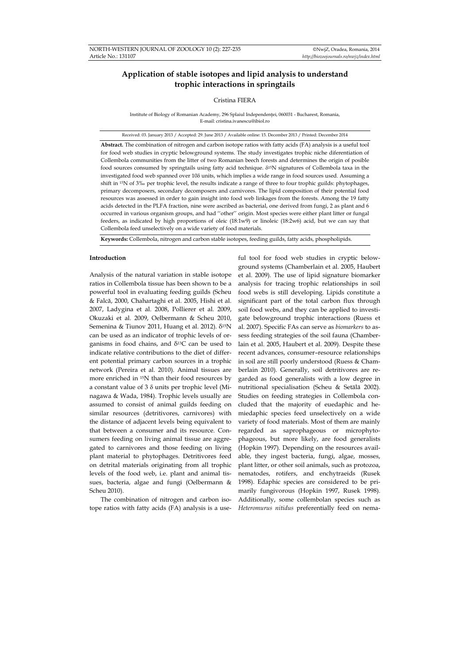# **Application of stable isotopes and lipid analysis to understand trophic interactions in springtails**

# Cristina FIERA

Institute of Biology of Romanian Academy, 296 Splaiul Independenţei, 060031 - Bucharest, Romania, E-mail: cristina.ivanescu@ibiol.ro

Received: 03. January 2013 / Accepted: 29. June 2013 / Available online: 15. December 2013 / Printed: December 2014

**Abstract.** The combination of nitrogen and carbon isotope ratios with fatty acids (FA) analysis is a useful tool for food web studies in cryptic belowground systems. The study investigates trophic niche diferentiation of Collembola communities from the litter of two Romanian beech forests and determines the origin of posible food sources consumed by springtails using fatty acid technique. δ15N signatures of Collembola taxa in the investigated food web spanned over 10δ units, which implies a wide range in food sources used. Assuming a shift in 15N of 3‰ per trophic level, the results indicate a range of three to four trophic guilds: phytophages, primary decomposers, secondary decomposers and carnivores. The lipid composition of their potential food resources was assessed in order to gain insight into food web linkages from the forests. Among the 19 fatty acids detected in the PLFA fraction, nine were ascribed as bacterial, one derived from fungi, 2 as plant and 6 occurred in various organism groups, and had ''other'' origin. Most species were either plant litter or fungal feeders, as indicated by high proportions of oleic (18:1w9) or linoleic (18:2w6) acid, but we can say that Collembola feed unselectively on a wide variety of food materials.

**Keywords:** Collembola, nitrogen and carbon stable isotopes, feeding guilds, fatty acids, phospholipids.

## **Introduction**

Analysis of the natural variation in stable isotope ratios in Collembola tissue has been shown to be a powerful tool in evaluating feeding guilds (Scheu & Falcă, 2000, Chahartaghi et al. 2005, Hishi et al. 2007, Ladygina et al. 2008, Pollierer et al. 2009, Okuzaki et al. 2009, Oelbermann & Scheu 2010, Semenina & Tiunov 2011, Huang et al. 2012). δ<sup>15</sup>N can be used as an indicator of trophic levels of organisms in food chains, and  $\delta^{13}$ C can be used to indicate relative contributions to the diet of different potential primary carbon sources in a trophic network (Pereira et al. 2010). Animal tissues are more enriched in 15N than their food resources by a constant value of 3 δ units per trophic level (Minagawa & Wada, 1984). Trophic levels usually are assumed to consist of animal guilds feeding on similar resources (detritivores, carnivores) with the distance of adjacent levels being equivalent to that between a consumer and its resource. Consumers feeding on living animal tissue are aggregated to carnivores and those feeding on living plant material to phytophages. Detritivores feed on detrital materials originating from all trophic levels of the food web, i.e. plant and animal tissues, bacteria, algae and fungi (Oelbermann & Scheu 2010).

The combination of nitrogen and carbon isotope ratios with fatty acids (FA) analysis is a use-

ful tool for food web studies in cryptic belowground systems (Chamberlain et al. 2005, Haubert et al. 2009). The use of lipid signature biomarker analysis for tracing trophic relationships in soil food webs is still developing. Lipids constitute a significant part of the total carbon flux through soil food webs, and they can be applied to investigate belowground trophic interactions (Ruess et al. 2007). Specific FAs can serve as *biomarkers* to assess feeding strategies of the soil fauna (Chamberlain et al. 2005, Haubert et al. 2009). Despite these recent advances, consumer–resource relationships in soil are still poorly understood (Ruess & Chamberlain 2010). Generally, soil detritivores are regarded as food generalists with a low degree in nutritional specialisation (Scheu & Setälä 2002). Studies on feeding strategies in Collembola concluded that the majority of euedaphic and hemiedaphic species feed unselectively on a wide variety of food materials. Most of them are mainly regarded as saprophageous or microphytophageous, but more likely, are food generalists (Hopkin 1997). Depending on the resources available, they ingest bacteria, fungi, algae, mosses, plant litter, or other soil animals, such as protozoa, nematodes, rotifers, and enchytraeids (Rusek 1998). Edaphic species are considered to be primarily fungivorous (Hopkin 1997, Rusek 1998). Additionally, some collembolan species such as *Heteromurus nitidus* preferentially feed on nema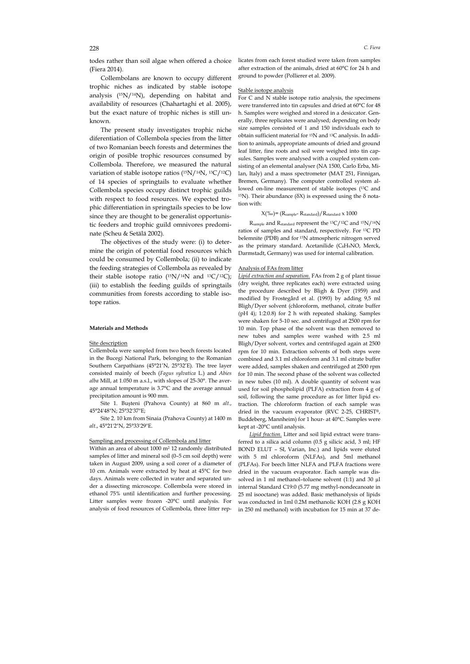todes rather than soil algae when offered a choice (Fiera 2014).

Collembolans are known to occupy different trophic niches as indicated by stable isotope analysis (15N/14N), depending on habitat and availability of resources (Chahartaghi et al. 2005), but the exact nature of trophic niches is still unknown.

The present study investigates trophic niche diferentiation of Collembola species from the litter of two Romanian beech forests and determines the origin of posible trophic resources consumed by Collembola. Therefore, we measured the natural variation of stable isotope ratios  $(^{15}N/^{14}N, ^{13}C/^{12}C)$ of 14 species of springtails to evaluate whether Collembola species occupy distinct trophic guilds with respect to food resources. We expected trophic differentiation in springtails species to be low since they are thought to be generalist opportunistic feeders and trophic guild omnivores predominate (Scheu & Setälä 2002).

The objectives of the study were: (i) to determine the origin of potential food resources which could be consumed by Collembola; (ii) to indicate the feeding strategies of Collembola as revealed by their stable isotope ratio  $(^{15}N/^{14}N$  and  $^{13}C/^{12}C)$ ; (iii) to establish the feeding guilds of springtails communities from forests according to stable isotope ratios.

# **Materials and Methods**

## Site description

Collembola were sampled from two beech forests located in the Bucegi National Park, belonging to the Romanian Southern Carpathians (45°21'N, 25°32'E). The tree layer consisted mainly of beech (*Fagus sylvatica* L*.*) and *Abies alba* Mill, at 1.050 m a.s.l., with slopes of 25-30°. The average annual temperature is 3.7°C and the average annual precipitation amount is 900 mm.

Site 1. Buşteni (Prahova County) at 860 m *alt.*, 45°24'48"N; 25°32'37"E;

Site 2. 10 km from Sinaia (Prahova County) at 1400 m *alt.*, 45°21'2"N, 25°33'29"E.

### Sampling and processing of Collembola and litter

Within an area of about 1000 m2 12 randomly distributed samples of litter and mineral soil (0–5 cm soil depth) were taken in August 2009, using a soil corer of a diameter of 10 cm. Animals were extracted by heat at 45°C for two days. Animals were collected in water and separated under a dissecting microscope. Collembola were stored in ethanol 75% until identification and further processing. Litter samples were frozen -20°C until analysis. For analysis of food resources of Collembola, three litter replicates from each forest studied were taken from samples after extraction of the animals, dried at 60°C for 24 h and ground to powder (Pollierer et al. 2009).

## Stable isotope analysis

For C and N stable isotope ratio analysis, the specimens were transferred into tin capsules and dried at 60°C for 48 h. Samples were weighed and stored in a desiccator. Generally, three replicates were analysed; depending on body size samples consisted of 1 and 150 individuals each to obtain sufficient material for 15N and 13C analysis. In addition to animals, appropriate amounts of dried and ground leaf litter, fine roots and soil were weighed into tin capsules. Samples were analysed with a coupled system consisting of an elemental analyser (NA 1500, Carlo Erba, Milan, Italy) and a mass spectrometer (MAT 251, Finnigan, Bremen, Germany). The computer controlled system allowed on-line measurement of stable isotopes (13C and <sup>15</sup>N). Their abundance (δX) is expressed using the δ notation with:

# $X(\%$ o)= (Rsample- Rstandard)/Rstandard  $x$  1000

Rsample and Rstandard represent the 13C/12C and 15N/14N ratios of samples and standard, respectively. For 13C PD belemnite (PDB) and for 15N atmospheric nitrogen served as the primary standard. Acetanilide (C8H9NO, Merck, Darmstadt, Germany) was used for internal calibration.

## Analysis of FAs from litter

*Lipid extraction and separation.* FAs from 2 g of plant tissue (dry weight, three replicates each) were extracted using the procedure described by Bligh & Dyer (1959) and modified by Frostegård et al. (1993) by adding 9,5 ml Bligh/Dyer solvent (chloroform, methanol, citrate buffer (pH 4); 1:2:0.8) for 2 h with repeated shaking. Samples were shaken for 5-10 sec. and centrifuged at 2500 rpm for 10 min. Top phase of the solvent was then removed to new tubes and samples were washed with 2.5 ml Bligh/Dyer solvent, vortex and centrifuged again at 2500 rpm for 10 min. Extraction solvents of both steps were combined and 3.1 ml chloroform and 3.1 ml citrate buffer were added, samples shaken and centrifuged at 2500 rpm for 10 min. The second phase of the solvent was collected in new tubes (10 ml). A double quantity of solvent was used for soil phospholipid (PLFA) extraction from 4 g of soil, following the same procedure as for litter lipid extraction. The chloroform fraction of each sample was dried in the vacuum evaporator (RVC 2-25, CHRIST®, Buddeberg, Mannheim) for 1 hour- at 40°C. Samples were kept at -20°C until analysis.

*Lipid fraction.* Litter and soil lipid extract were transferred to a silica acid column (0.5 g silicic acid, 3 ml; HF BOND ELUT – SI, Varian, Inc.) and lipids were eluted with 5 ml chloroform (NLFAs), and 5ml methanol (PLFAs). For beech litter NLFA and PLFA fractions were dried in the vacuum evaporator. Each sample was dissolved in 1 ml methanol-toluene solvent (1:1) and 30  $\mu$ l internal Standard C19:0 (5.77 mg methyl-nondecanoate in 25 ml isooctane) was added. Basic methanolysis of lipids was conducted in 1ml 0.2M methanolic KOH (2.8 g KOH in 250 ml methanol) with incubation for 15 min at 37 de-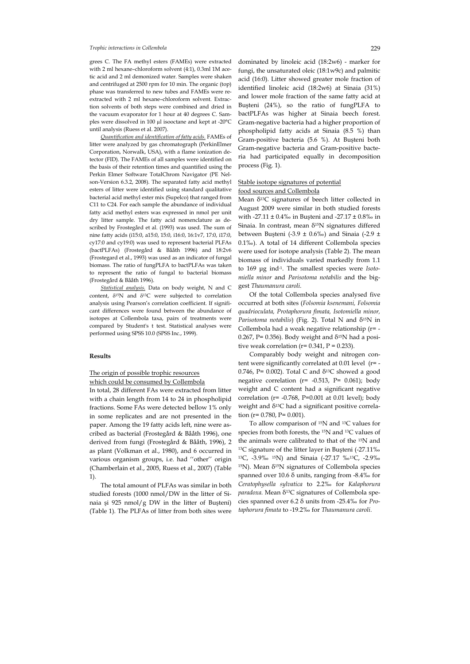### *Trophic interactions in Collembola* 229

grees C. The FA methyl esters (FAMEs) were extracted with 2 ml hexane–chloroform solvent (4:1), 0.3ml 1M acetic acid and 2 ml demonized water. Samples were shaken and centrifuged at 2500 rpm for 10 min. The organic (top) phase was transferred to new tubes and FAMEs were reextracted with 2 ml hexane–chloroform solvent. Extraction solvents of both steps were combined and dried in the vacuum evaporator for 1 hour at 40 degrees C. Samples were dissolved in 100 µl isooctane and kept at -20°C until analysis (Ruess et al. 2007).

*Quantification and identification of fatty acids.* FAMEs of litter were analyzed by gas chromatograph (PerkinElmer Corporation, Norwalk, USA), with a flame ionization detector (FID). The FAMEs of all samples were identified on the basis of their retention times and quantified using the Perkin Elmer Software TotalChrom Navigator (PE Nelson-Version 6.3.2, 2008). The separated fatty acid methyl esters of litter were identified using standard qualitative bacterial acid methyl ester mix (Supelco) that ranged from C11 to C24. For each sample the abundance of individual fatty acid methyl esters was expressed in nmol per unit dry litter sample. The fatty acid nomenclature as described by Frostegård et al. (1993) was used. The sum of nine fatty acids (i15:0, a15:0, 15:0, i16:0, 16:1v7, 17:0, i17:0, cy17:0 and cy19:0) was used to represent bacterial PLFAs (bactPLFAs) (Frostegård & Bååth 1996) and 18:2v6 (Frostegard et al., 1993) was used as an indicator of fungal biomass. The ratio of fungPLFA to bactPLFAs was taken to represent the ratio of fungal to bacterial biomass (Frostegård & Bååth 1996).

*Statistical analysis.* Data on body weight, N and C content, δ15N and δ13C were subjected to correlation analysis using Pearson's correlation coefficient. If significant differences were found between the abundance of isotopes at Collembola taxa, pairs of treatments were compared by Student's t test. Statistical analyses were performed using SPSS 10.0 (SPSS Inc., 1999).

# **Results**

# The origin of possible trophic resources which could be consumed by Collembola

In total, 28 different FAs were extracted from litter with a chain length from 14 to 24 in phospholipid fractions. Some FAs were detected bellow 1% only in some replicates and are not presented in the paper. Among the 19 fatty acids left, nine were ascribed as bacterial (Frostegård & Bååth 1996), one derived from fungi (Frostegård & Bååth, 1996), 2 as plant (Volkman et al., 1980), and 6 occurred in various organism groups, i.e. had ''other'' origin (Chamberlain et al., 2005, Ruess et al., 2007) (Table 1).

The total amount of PLFAs was similar in both studied forests (1000 nmol/DW in the litter of Sinaia şi 925 nmol/g DW in the litter of Buşteni) (Table 1). The PLFAs of litter from both sites were dominated by linoleic acid (18:2w6) - marker for fungi, the unsaturated oleic (18:1w9c) and palmitic acid (16:0). Litter showed greater mole fraction of identified linoleic acid (18:2w6) at Sinaia (31%) and lower mole fraction of the same fatty acid at Buşteni (24%), so the ratio of fungPLFA to bactPLFAs was higher at Sinaia beech forest. Gram-negative bacteria had a higher proportion of phospholipid fatty acids at Sinaia (8.5 %) than Gram-positive bacteria (5.6 %). At Buşteni both Gram-negative bacteria and Gram-positive bacteria had participated equally in decomposition process (Fig. 1).

# Stable isotope signatures of potential

# food sources and Collembola

Mean  $\delta^{13}$ C signatures of beech litter collected in August 2009 were similar in both studied forests with -27.11 ± 0.4‰ in Buşteni and -27.17 ± 0.8‰ in Sinaia. In contrast, mean  $\delta^{15}N$  signatures differed between Buşteni (-3.9  $\pm$  0.6‰) and Sinaia (-2.9  $\pm$ 0.1‰). A total of 14 different Collembola species were used for isotope analysis (Table 2). The mean biomass of individuals varied markedly from 1.1 to 169 μg ind-1. The smallest species were *Isotomiella minor* and *Parisotoma notabilis* and the biggest *Thaumanura caroli.* 

Of the total Collembola species analysed five occurred at both sites (*Folsomia ksenemani, Folsomia quadrioculata, Protaphorura fimata, Isotomiella minor, Parisotoma notabilis*) (Fig. 2). Total N and δ<sup>15</sup>N in Collembola had a weak negative relationship (r= - 0.267, P= 0.356). Body weight and  $\delta^{15}N$  had a positive weak correlation ( $r= 0.341$ ,  $P = 0.233$ ).

Comparably body weight and nitrogen content were significantly correlated at 0.01 level (r= - 0.746, P= 0.002). Total C and  $\delta^{13}$ C showed a good negative correlation (r= -0.513, P= 0.061); body weight and C content had a significant negative correlation ( $r = -0.768$ ,  $P = 0.001$  at 0.01 level); body weight and  $\delta^{13}$ C had a significant positive correlation ( $r= 0.780$ ,  $P= 0.001$ ).

To allow comparison of 15N and 13C values for species from both forests, the 15N and 13C values of the animals were calibrated to that of the 15N and 13C signature of the litter layer in Buşteni (-27.11‰ 13C, -3.9‰ 15N) and Sinaia (-27.17 ‰13C, -2.9‰  $15N$ ). Mean δ<sup>15</sup>N signatures of Collembola species spanned over 10.6 δ units, ranging from -8.4‰ for *Ceratophysella sylvatica* to 2.2‰ for *Kalaphorura paradoxa.* Mean δ13C signatures of Collembola species spanned over 6.2 δ units from -25.4‰ for *Protaphorura fimata* to -19.2‰ for *Thaumanura caroli.*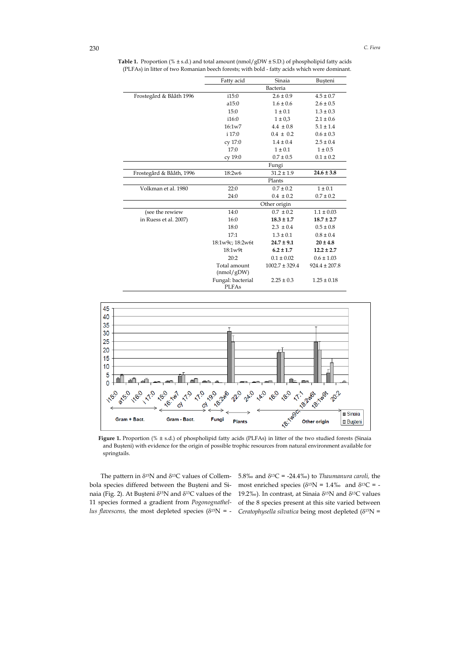Table 1. Proportion (% ± s.d.) and total amount (nmol/gDW ± S.D.) of phospholipid fatty acids (PLFAs) in litter of two Romanian beech forests; with bold - fatty acids which were dominant.

|                          | Fatty acid                        | Sinaia             | Busteni           |  |
|--------------------------|-----------------------------------|--------------------|-------------------|--|
|                          | Bacteria                          |                    |                   |  |
| Frostegård & Bååth 1996  | i15:0                             | $2.6 \pm 0.9$      | $4.5 \pm 0.7$     |  |
|                          | a15:0                             | $1.6 \pm 0.6$      | $2.6 \pm 0.5$     |  |
|                          | 15:0                              | $1 \pm 0.1$        | $1.3 \pm 0.3$     |  |
|                          | i16:0                             | $1 \pm 0.3$        | $2.1 \pm 0.6$     |  |
|                          | 16:1w7                            | $4.4 \pm 0.8$      | $5.1 \pm 1.4$     |  |
|                          | i 17:0                            | $0.4 \pm 0.2$      | $0.6 \pm 0.3$     |  |
|                          | cy 17:0                           | $1.4 \pm 0.4$      | $2.5 \pm 0.4$     |  |
|                          | 17:0                              | $1 \pm 0.1$        | $1 \pm 0.5$       |  |
|                          | cy 19:0                           | $0.7 \pm 0.5$      | $0.1 \pm 0.2$     |  |
|                          |                                   | Fungi              |                   |  |
| Frostegård & Bååth, 1996 | 18:2w6                            | $31.2 \pm 1.9$     | $24.6 \pm 3.8$    |  |
|                          |                                   | Plants             |                   |  |
| Volkman et al. 1980      | 22:0                              | $0.7 \pm 0.2$      | $1 \pm 0.1$       |  |
|                          | 24:0                              | $0.4 \pm 0.2$      | $0.7 \pm 0.2$     |  |
|                          |                                   | Other origin       |                   |  |
| (see the rewiew          | 14:0                              | $0.7 \pm 0.2$      | $1.1 \pm 0.03$    |  |
| in Ruess et al. 2007)    | 16:0                              | $18.3 \pm 1.7$     | $18.7 \pm 2.7$    |  |
|                          | 18:0                              | $2.3 \pm 0.4$      | $0.5 \pm 0.8$     |  |
|                          | 17:1                              | $1.3 \pm 0.1$      | $0.8 \pm 0.4$     |  |
|                          | 18:1w9c; 18:2w6t                  | $24.7 \pm 9.1$     | $20 \pm 4.8$      |  |
|                          | 18:1w9t                           | $6.2 \pm 1.7$      | $12.2 \pm 2.7$    |  |
|                          | 20:2                              | $0.1 \pm 0.02$     | $0.6 \pm 1.03$    |  |
|                          | Total amount<br>(mmol/gDW)        | $1002.7 \pm 329.4$ | $924.4 \pm 207.8$ |  |
|                          | Fungal: bacterial<br><b>PLFAs</b> | $2.25 \pm 0.3$     | $1.25 \pm 0.18$   |  |



**Figure 1.** Proportion (% ± s.d.) of phospholipid fatty acids (PLFAs) in litter of the two studied forests (Sinaia and Buşteni) with evidence for the origin of possible trophic resources from natural environment available for springtails.

The pattern in  $\delta^{15}N$  and  $\delta^{13}C$  values of Collembola species differed between the Buşteni and Sinaia (Fig. 2). At Buşteni δ15N and δ13C values of the 11 species formed a gradient from *Pogonognathellus flavescens,* the most depleted species ( $\delta^{15}N = -$ 

5.8‰ and  $\delta^{13}C = -24.4%$ ) to *Thaumanura caroli*, the most enriched species ( $\delta^{15}N = 1.4\%$  and  $\delta^{13}C = -$ 19.2‰). In contrast, at Sinaia  $δ<sup>15</sup>N$  and  $δ<sup>13</sup>C$  values of the 8 species present at this site varied between *Ceratophysella silvatica* being most depleted (δ15N =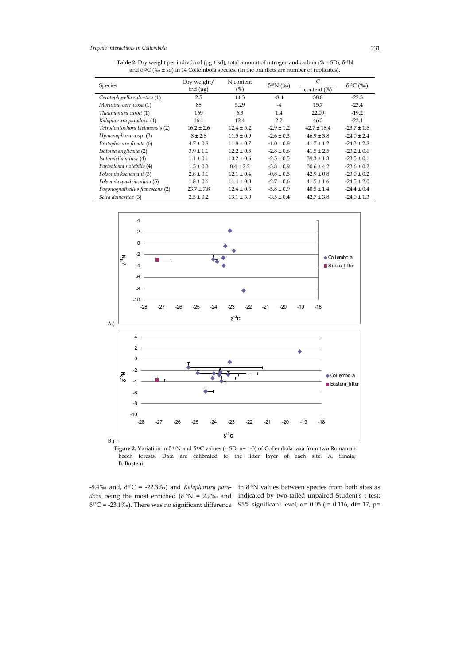**Table 2.** Dry weight per indivdiual (μg ± sd), total amount of nitrogen and carbon (% ± SD), δ15N and  $\delta^{13}C$  (‰ ± sd) in 14 Collembola species. (In the brankets are number of replicates).

| Species                         | Dry weight/<br>ind $(\mu g)$ | N content<br>(%) | $\delta^{15}N$ (‰) | C               | $\delta^{13}C$ (%o) |
|---------------------------------|------------------------------|------------------|--------------------|-----------------|---------------------|
|                                 |                              |                  |                    | content $(\%)$  |                     |
| Ceratophysella sylvatica (1)    | 2.5                          | 14.3             | $-8.4$             | 38.8            | $-22.3$             |
| Morulina verrucosa (1)          | 88                           | 5.29             | $-4$               | 15.7            | $-23.4$             |
| Thaumanura caroli (1)           | 169                          | 6.3              | 1.4                | 22.09           | $-19.2$             |
| Kalaphorura paradoxa (1)        | 16.1                         | 12.4             | 2.2                | 46.3            | $-23.1$             |
| Tetrodontophora bielanensis (2) | $16.2 \pm 2.6$               | $12.4 \pm 5.2$   | $-2.9 \pm 1.2$     | $42.7 \pm 18.4$ | $-23.7 \pm 1.6$     |
| Hymenaphorura sp. (3)           | $8 + 2.8$                    | $11.5 \pm 0.9$   | $-2.6 \pm 0.3$     | $46.9 \pm 3.8$  | $-24.0 \pm 2.4$     |
| Protaphorura fimata (6)         | $4.7 \pm 0.8$                | $11.8 \pm 0.7$   | $-1.0 \pm 0.8$     | $41.7 \pm 1.2$  | $-24.3 \pm 2.8$     |
| Isotoma anglicana (2)           | $3.9 \pm 1.1$                | $12.2 \pm 0.5$   | $-2.8 \pm 0.6$     | $41.5 \pm 2.5$  | $-23.2 \pm 0.6$     |
| Isotomiella minor (4)           | $1.1 \pm 0.1$                | $10.2 \pm 0.6$   | $-2.5 \pm 0.5$     | $39.3 \pm 1.3$  | $-23.5 \pm 0.1$     |
| Parisotoma notabilis (4)        | $1.5 \pm 0.3$                | $8.4 \pm 2.2$    | $-3.8 \pm 0.9$     | $30.6 \pm 4.2$  | $-23.6 \pm 0.2$     |
| Folsomia ksenemani (3)          | $2.8 \pm 0.1$                | $12.1 \pm 0.4$   | $-0.8 \pm 0.5$     | $42.9 \pm 0.8$  | $-23.0 \pm 0.2$     |
| Folsomia quadrioculata (5)      | $1.8 \pm 0.6$                | $11.4 \pm 0.8$   | $-2.7 \pm 0.6$     | $41.5 \pm 1.6$  | $-24.5 \pm 2.0$     |
| Pogonognathellus flavescens (2) | $23.7 \pm 7.8$               | $12.4 \pm 0.3$   | $-5.8 \pm 0.9$     | $40.5 \pm 1.4$  | $-24.4 \pm 0.4$     |
| Seira domestica (3)             | $2.5 \pm 0.2$                | $13.1 \pm 3.0$   | $-3.5 \pm 0.4$     | $42.7 \pm 3.8$  | $-24.0 \pm 1.3$     |





-8.4‰ and, δ13C = -22.3‰) and *Kalaphorura para-*in δ15N values between species from both sites as

*doxa* being the most enriched  $(\delta^{15}N = 2.2\%$  and indicated by two-tailed unpaired Student's t test;  $δ<sup>13</sup>C = -23.1‰$ ). There was no significant difference 95% significant level,  $α = 0.05$  (t= 0.116, df= 17, p=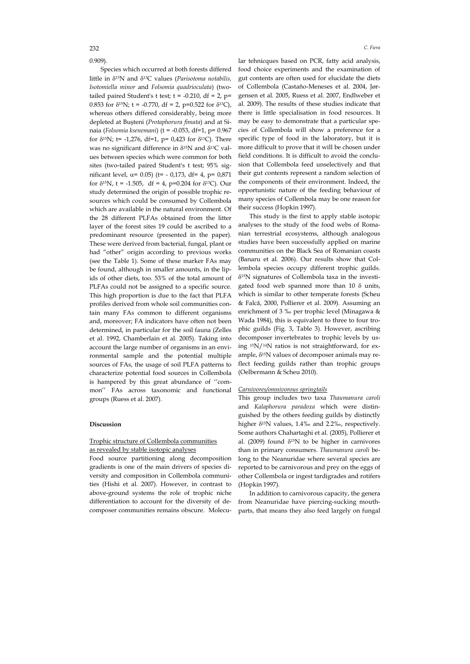0.909).

Species which occurred at both forests differed little in δ15N and δ13C values (*Parisotoma notabilis, Isotomiella minor* and *Folsomia quadrioculata*) (twotailed paired Student's t test;  $t = -0.210$ , df = 2, p= 0.853 for  $\delta^{15}N$ ; t = -0.770, df = 2, p=0.522 for  $\delta^{13}C$ ), whereas others differed considerably, being more depleted at Buşteni (*Protaphorura fimata*) and at Sinaia (*Folsomia ksenemani*) (t = -0.053, df=1, p= 0.967 for  $\delta^{15}$ N; t= -1,276, df=1, p= 0,423 for  $\delta^{13}$ C). There was no significant difference in δ15N and δ13C values between species which were common for both sites (two-tailed paired Student's t test; 95% significant level, α= 0.05) (t= - 0,173, df= 4, p= 0,871 for  $\delta^{15}N$ , t = -1.505, df = 4, p=0.204 for  $\delta^{13}C$ ). Our study determined the origin of possible trophic resources which could be consumed by Collembola which are available in the natural environment. Of the 28 different PLFAs obtained from the litter layer of the forest sites 19 could be ascribed to a predominant resource (presented in the paper). These were derived from bacterial, fungal, plant or had "other" origin according to previous works (see the Table 1). Some of these marker FAs may be found, although in smaller amounts, in the lipids of other diets, too. 53% of the total amount of PLFAs could not be assigned to a specific source. This high proportion is due to the fact that PLFA profiles derived from whole soil communities contain many FAs common to different organisms and, moreover; FA indicators have often not been determined, in particular for the soil fauna (Zelles et al. 1992, Chamberlain et al. 2005). Taking into account the large number of organisms in an environmental sample and the potential multiple sources of FAs, the usage of soil PLFA patterns to characterize potential food sources in Collembola is hampered by this great abundance of ''common'' FAs across taxonomic and functional groups (Ruess et al. 2007).

#### **Discussion**

# Trophic structure of Collembola communities as revealed by stable isotopic analyses

Food source partitioning along decomposition gradients is one of the main drivers of species diversity and composition in Collembola communities (Hishi et al. 2007). However, in contrast to above-ground systems the role of trophic niche differentiation to account for the diversity of decomposer communities remains obscure. Molecu-

lar tehnicques based on PCR, fatty acid analysis, food choice experiments and the examination of gut contents are often used for elucidate the diets of Collembola (Castaño-Meneses et al. 2004, Jørgensen et al. 2005, Ruess et al. 2007, Endlweber et al. 2009). The results of these studies indicate that there is little specialisation in food resources. It may be easy to demonstrate that a particular species of Collembola will show a preference for a specific type of food in the laboratory, but it is more difficult to prove that it will be chosen under field conditions. It is difficult to avoid the conclusion that Collembola feed unselectively and that their gut contents represent a random selection of the components of their environment. Indeed, the opportunistic nature of the feeding behaviour of many species of Collembola may be one reason for their success (Hopkin 1997).

This study is the first to apply stable isotopic analyses to the study of the food webs of Romanian terrestrial ecosystems, although analogous studies have been successfully applied on marine communities on the Black Sea of Romanian coasts (Banaru et al. 2006). Our results show that Collembola species occupy different trophic guilds. δ15N signatures of Collembola taxa in the investigated food web spanned more than 10 δ units, which is similar to other temperate forests (Scheu & Falcă, 2000, Pollierer et al. 2009). Assuming an enrichment of 3 ‰ per trophic level (Minagawa & Wada 1984), this is equivalent to three to four trophic guilds (Fig. 3, Table 3). However, ascribing decomposer invertebrates to trophic levels by using 15N/14N ratios is not straightforward, for example,  $\delta^{15}$ N values of decomposer animals may reflect feeding guilds rather than trophic groups (Oelbermann & Scheu 2010).

#### *Carnivores/omnivorous springtails*

This group includes two taxa *Thaumanura caroli* and *Kalaphorura paradoxa* which were distinguished by the others feeding guilds by distinctly higher δ15N values, 1.4‰ and 2.2‰, respectively. Some authors Chahartaghi et al. (2005), Pollierer et al. (2009) found  $\delta^{15}N$  to be higher in carnivores than in primary consumers. *Thaumanura caroli* belong to the Neanuridae where several species are reported to be carnivorous and prey on the eggs of other Collembola or ingest tardigrades and rotifers (Hopkin 1997).

In addition to carnivorous capacity, the genera from Neanuridae have piercing-sucking mouthparts, that means they also feed largely on fungal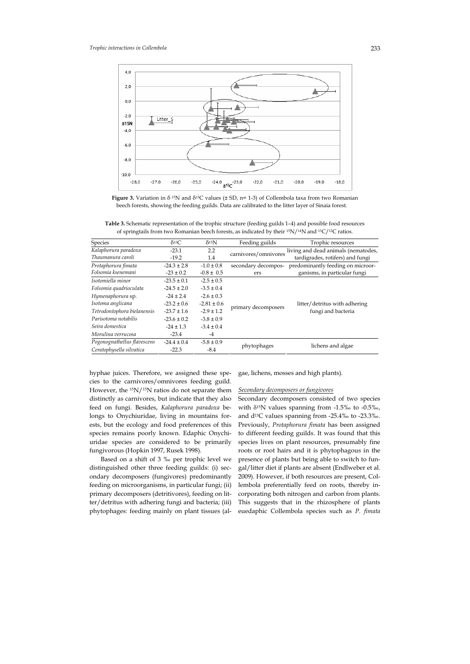

**Figure 3.** Variation in δ 15N and δ13C values (± SD, n= 1-3) of Collembola taxa from two Romanian beech forests, showing the feeding guilds. Data are calibrated to the litter layer of Sinaia forest.

**Table 3.** Schematic representation of the trophic structure (feeding guilds 1–4) and possible food resources of springtails from two Romanian beech forests, as indicated by their 15N/14N and 13C/12C ratios.

| Species                     | $\delta^{13}C$  | $\delta$ <sup>15</sup> N | Feeding guilds       | Trophic resources                                                       |  |
|-----------------------------|-----------------|--------------------------|----------------------|-------------------------------------------------------------------------|--|
| Kalaphorura paradoxa        | $-23.1$         | 2.2                      |                      | living and dead animals (nematodes,<br>tardigrades, rotifers) and fungi |  |
| Thaumanura caroli           | $-19.2$         | 1.4                      | carnivores/omnivores |                                                                         |  |
| Protaphorura fimata         | $-24.3 \pm 2.8$ | $-1.0 \pm 0.8$           | secondary decompos-  | predominantly feeding on microor-                                       |  |
| Folsomia ksenemani          | $-23 \pm 0.2$   | $-0.8 \pm 0.5$           | ers                  | ganisms, in particular fungi                                            |  |
| Isotomiella minor           | $-23.5 \pm 0.1$ | $-2.5 \pm 0.5$           |                      |                                                                         |  |
| Folsomia quadrioculata      | $-24.5 \pm 2.0$ | $-3.5 \pm 0.4$           |                      |                                                                         |  |
| Hymenaphorura sp.           | $-24 \pm 2.4$   | $-2.6 \pm 0.3$           |                      | litter/detritus with adhering                                           |  |
| Isotoma anglicana           | $-23.2 \pm 0.6$ | $-2.81 \pm 0.6$          |                      |                                                                         |  |
| Tetrodontophora bielanensis | $-23.7 \pm 1.6$ | $-2.9 \pm 1.2$           | primary decomposers  | fungi and bacteria                                                      |  |
| Parisotoma notabilis        | $-23.6 \pm 0.2$ | $-3.8 \pm 0.9$           |                      |                                                                         |  |
| Seira domestica             | $-24 \pm 1.3$   | $-3.4 \pm 0.4$           |                      |                                                                         |  |
| Morulina verrucosa          | $-23.4$         | $-4$                     |                      |                                                                         |  |
| Pogonognathellus flavescens | $-24.4 \pm 0.4$ | $-5.8 \pm 0.9$           |                      | lichens and algae                                                       |  |
| Ceratophysella silvatica    | $-22.3$         | $-8.4$                   | phytophages          |                                                                         |  |

hyphae juices. Therefore, we assigned these species to the carnivores/omnivores feeding guild. However, the 15N/15N ratios do not separate them distinctly as carnivores, but indicate that they also feed on fungi. Besides, *Kalaphorura paradoxa* belongs to Onychiuridae, living in mountains forests, but the ecology and food preferences of this species remains poorly known. Edaphic Onychiuridae species are considered to be primarily fungivorous (Hopkin 1997, Rusek 1998).

Based on a shift of 3 ‰ per trophic level we distinguished other three feeding guilds: (i) secondary decomposers (fungivores) predominantly feeding on microorganisms, in particular fungi; (ii) primary decomposers (detritivores), feeding on litter/detritus with adhering fungi and bacteria; (iii) phytophages: feeding mainly on plant tissues (algae, lichens, mosses and high plants).

## *Secondary decomposers or fungivores*

Secondary decomposers consisted of two species with  $\delta^{15}N$  values spanning from -1.5‰ to -0.5‰, and d13C values spanning from -25.4‰ to -23.3‰. Previously, *Protaphorura fimata* has been assigned to different feeding guilds. It was found that this species lives on plant resources, presumably fine roots or root hairs and it is phytophagous in the presence of plants but being able to switch to fungal/litter diet if plants are absent (Endlweber et al. 2009). However, if both resources are present, Collembola preferentially feed on roots, thereby incorporating both nitrogen and carbon from plants. This suggests that in the rhizosphere of plants euedaphic Collembola species such as *P. fimata*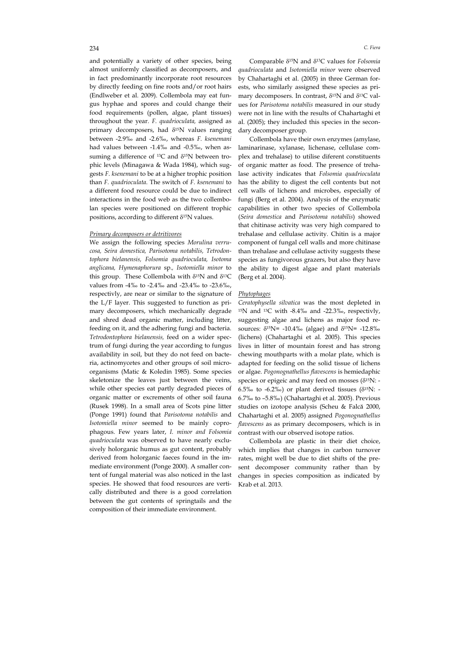and potentially a variety of other species, being almost uniformly classified as decomposers, and in fact predominantly incorporate root resources by directly feeding on fine roots and/or root hairs (Endlweber et al. 2009). Collembola may eat fungus hyphae and spores and could change their food requirements (pollen, algae, plant tissues) throughout the year. *F. quadrioculata,* assigned as primary decomposers, had  $\delta^{15}N$  values ranging between -2.9‰ and -2.6‰, whereas *F. ksenemani*  had values between -1.4‰ and -0.5‰, when assuming a difference of  $^{13}C$  and  $\delta^{15}N$  between trophic levels (Minagawa & Wada 1984), which suggests *F. ksenemani* to be at a higher trophic position than *F. quadrioculata*. The switch of *F. ksenemani* to a different food resource could be due to indirect interactions in the food web as the two collembolan species were positioned on different trophic positions, according to different δ15N values.

# *Primary decomposers or detritivores*

We assign the following species *Morulina verrucosa, Seira domestica, Parisotoma notabilis, Tetrodontophora bielanensis, Folsomia quadrioculata, Isotoma anglicana, Hymenaphorura* sp.*, Isotomiella minor* to this group. These Collembola with  $\delta^{15}N$  and  $\delta^{13}C$ values from -4‰ to -2.4‰ and -23.4‰ to -23.6‰, respectivly, are near or similar to the signature of the L/F layer. This suggested to function as primary decomposers, which mechanically degrade and shred dead organic matter, including litter, feeding on it, and the adhering fungi and bacteria. *Tetrodontophora bielanensis,* feed on a wider spectrum of fungi during the year according to fungus availability in soil, but they do not feed on bacteria, actinomycetes and other groups of soil microorganisms (Matic & Koledin 1985). Some species skeletonize the leaves just between the veins, while other species eat partly degraded pieces of organic matter or excrements of other soil fauna (Rusek 1998). In a small area of Scots pine litter (Ponge 1991) found that *Parisotoma notabilis* and *Isotomiella minor* seemed to be mainly coprophagous. Few years later, *I. minor and Folsomia quadrioculata* was observed to have nearly exclusively holorganic humus as gut content, probably derived from holorganic faeces found in the immediate environment (Ponge 2000). A smaller content of fungal material was also noticed in the last species. He showed that food resources are vertically distributed and there is a good correlation between the gut contents of springtails and the composition of their immediate environment.

Comparable δ15N and δ13C values for *Folsomia quadrioculata* and *Isotomiella minor* were observed by Chahartaghi et al. (2005) in three German forests, who similarly assigned these species as primary decomposers. In contrast, δ15N and δ13C values for *Parisotoma notabilis* measured in our study were not in line with the results of Chahartaghi et al. (2005); they included this species in the secondary decomposer group.

Collembola have their own enzymes (amylase, laminarinase, xylanase, lichenase, cellulase complex and trehalase) to utilise diferent constituents of organic matter as food. The presence of trehalase activity indicates that *Folsomia quadrioculata* has the ability to digest the cell contents but not cell walls of lichens and microbes, especially of fungi (Berg et al. 2004). Analysis of the enzymatic capabilities in other two species of Collembola (*Seira domestica* and *Parisotoma notabilis*) showed that chitinase activity was very high compared to trehalase and cellulase activity. Chitin is a major component of fungal cell walls and more chitinase than trehalase and cellulase activity suggests these species as fungivorous grazers, but also they have the ability to digest algae and plant materials (Berg et al. 2004).

## *Phytophages*

*Ceratophysella silvatica* was the most depleted in 15N and 13C with -8.4‰ and -22.3‰, respectivly, suggesting algae and lichens as major food resources:  $δ<sup>15</sup>N = -10.4%$  (algae) and  $δ<sup>15</sup>N = -12.8%$ (lichens) (Chahartaghi et al. 2005). This species lives in litter of mountain forest and has strong chewing mouthparts with a molar plate, which is adapted for feeding on the solid tissue of lichens or algae. *Pogonognathellus flavescens* is hemiedaphic species or epigeic and may feed on mosses (δ15N: - 6.5‰ to -6.2‰) or plant derived tissues ( $\delta^{15}N$ : -6.7‰ to –5.8‰) (Chahartaghi et al. 2005). Previous studies on izotope analysis (Scheu & Falcă 2000, Chahartaghi et al. 2005) assigned *Pogonognathellus flavescens* as as primary decomposers, which is in contrast with our observed isotope ratios.

Collembola are plastic in their diet choice, which implies that changes in carbon turnover rates, might well be due to diet shifts of the present decomposer community rather than by changes in species composition as indicated by Krab et al. 2013.